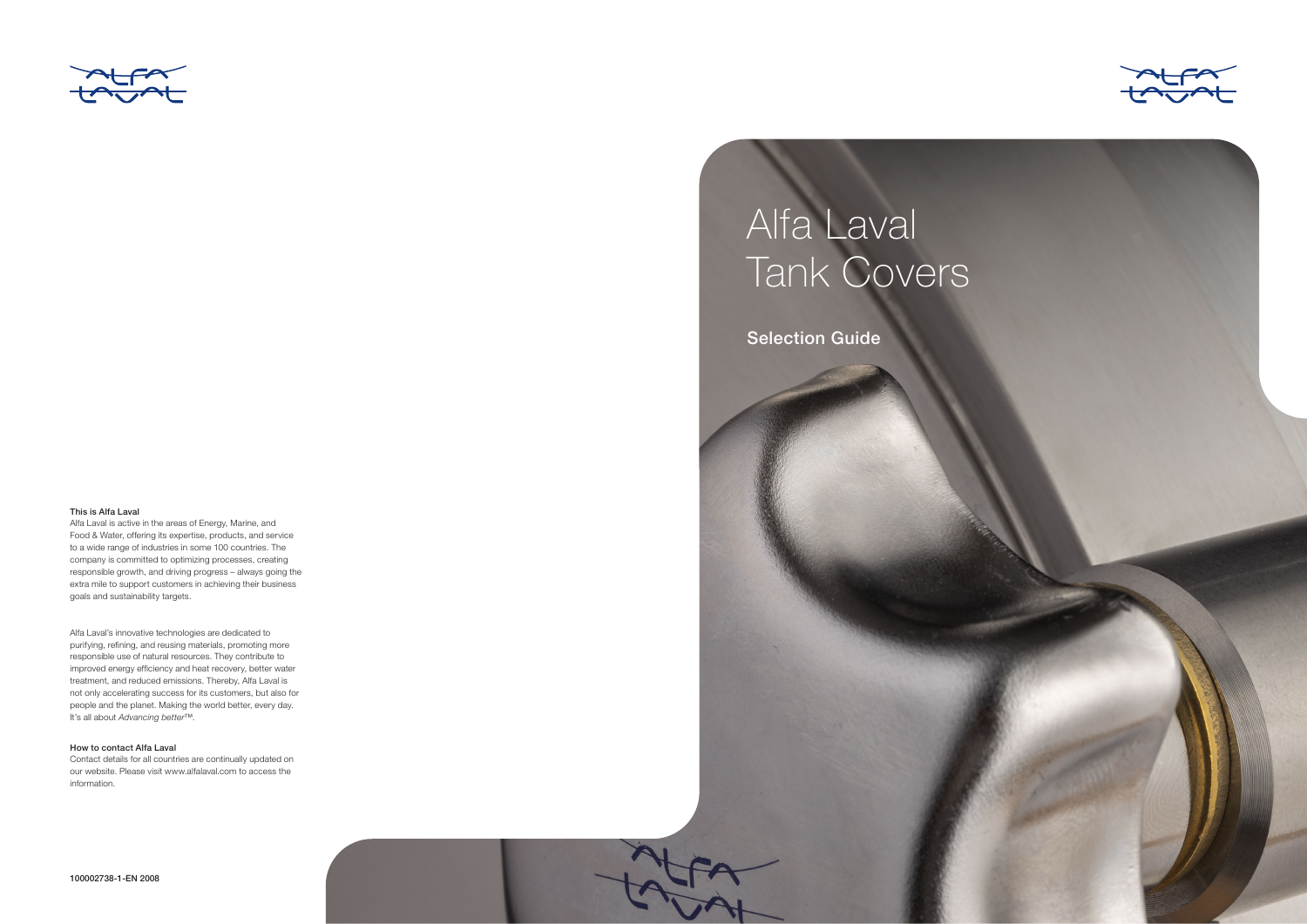

### This is Alfa Laval

Alfa Laval is active in the areas of Energy, Marine, and Food & Water, offering its expertise, products, and service to a wide range of industries in some 100 countries. The company is committed to optimizing processes, creating responsible growth, and driving progress – always going the extra mile to support customers in achieving their business goals and sustainability targets.

Alfa Laval's innovative technologies are dedicated to purifying, refining, and reusing materials, promoting more responsible use of natural resources. They contribute to improved energy efficiency and heat recovery, better water treatment, and reduced emissions. Thereby, Alfa Laval is not only accelerating success for its customers, but also for people and the planet. Making the world better, every day. It's all about *Advancing better*™.

## How to contact Alfa Laval

Contact details for all countries are continually updated on our website. Please visit www.alfalaval.com to access the information.





# Alfa Laval Tank Covers

Selection Guide